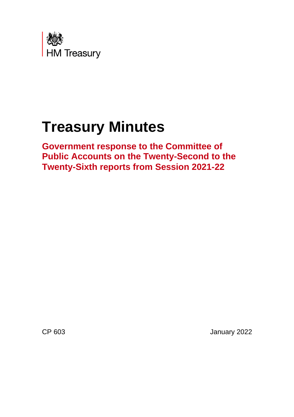

# **Treasury Minutes**

**Government response to the Committee of Public Accounts on the Twenty-Second to the Twenty-Sixth reports from Session 2021-22** 

CP 603 January 2022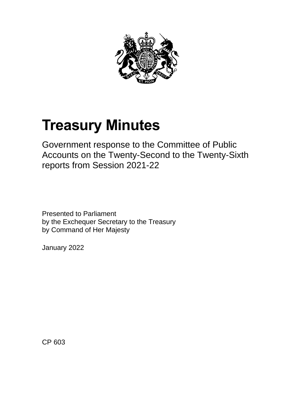

# **Treasury Minutes**

Government response to the Committee of Public Accounts on the Twenty-Second to the Twenty-Sixth reports from Session 2021-22

Presented to Parliament by the Exchequer Secretary to the Treasury by Command of Her Majesty

January 2022

CP 603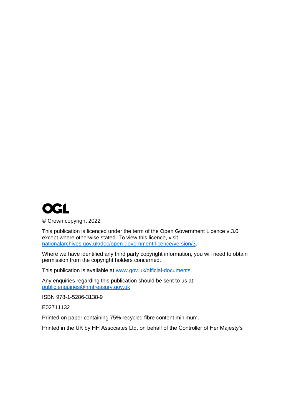

© Crown copyright 2022

This publication is licenced under the term of the Open Government Licence v.3.0 except where otherwise stated. To view this licence, visit [nationalarchives.gov.uk/doc/open-government-licence/version/3.](http://www.nationalarchives.gov.uk/doc/open-government-licence/version/3)

Where we have identified any third party copyright information, you will need to obtain permission from the copyright holders concerned.

This publication is available at [www.gov.uk/official-documents.](http://www.gov.uk/official-documents)

Any enquiries regarding this publication should be sent to us at: [public.enquiries@hmtreasury.gov.uk](mailto:public.enquiries@hmtreasury.gov.uk)

ISBN 978-1-5286-3138-9

E02711132

Printed on paper containing 75% recycled fibre content minimum.

Printed in the UK by HH Associates Ltd. on behalf of the Controller of Her Majesty's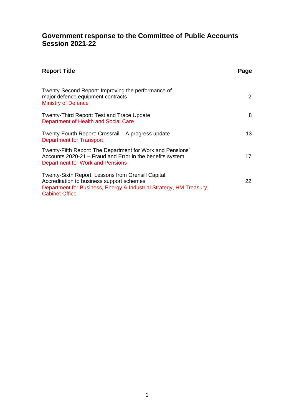# **Government response to the Committee of Public Accounts Session 2021-22**

| <b>Report Title</b>                                                                                                                                                                              | Page |
|--------------------------------------------------------------------------------------------------------------------------------------------------------------------------------------------------|------|
| Twenty-Second Report: Improving the performance of<br>major defence equipment contracts<br><b>Ministry of Defence</b>                                                                            | 2    |
| <b>Twenty-Third Report: Test and Trace Update</b><br>Department of Health and Social Care                                                                                                        | 8    |
| Twenty-Fourth Report: Crossrail – A progress update<br>Department for Transport                                                                                                                  | 13   |
| Twenty-Fifth Report: The Department for Work and Pensions'<br>Accounts 2020-21 – Fraud and Error in the benefits system<br>Department for Work and Pensions                                      | 17   |
| Twenty-Sixth Report: Lessons from Grensill Capital:<br>Accreditation to business support schemes<br>Department for Business, Energy & Industrial Strategy, HM Treasury,<br><b>Cabinet Office</b> | 22.  |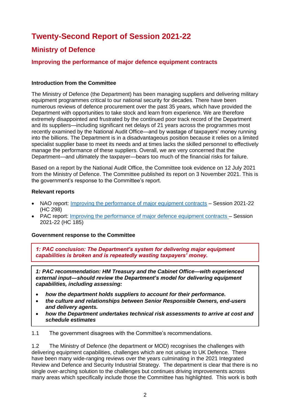# **Twenty-Second Report of Session 2021-22**

# **Ministry of Defence**

# **Improving the performance of major defence equipment contracts**

#### **Introduction from the Committee**

The Ministry of Defence (the Department) has been managing suppliers and delivering military equipment programmes critical to our national security for decades. There have been numerous reviews of defence procurement over the past 35 years, which have provided the Department with opportunities to take stock and learn from experience. We are therefore extremely disappointed and frustrated by the continued poor track record of the Department and its suppliers—including significant net delays of 21 years across the programmes most recently examined by the National Audit Office—and by wastage of taxpayers' money running into the billions. The Department is in a disadvantageous position because it relies on a limited specialist supplier base to meet its needs and at times lacks the skilled personnel to effectively manage the performance of these suppliers. Overall, we are very concerned that the Department—and ultimately the taxpayer—bears too much of the financial risks for failure.

Based on a report by the National Audit Office, the Committee took evidence on 12 July 2021 from the Ministry of Defence. The Committee published its report on 3 November 2021. This is the government's response to the Committee's report.

#### **Relevant reports**

- NAO report: [Improving the performance of major equipment contracts](https://www.nao.org.uk/wp-content/uploads/2021/06/Improving-the-performance-of-major-equipment-contracts.pdf) Session 2021-22 (HC 298)
- PAC report: [Improving the performance of major defence equipment contracts –](https://committees.parliament.uk/publications/7706/documents/80491/default/) Session 2021-22 (HC 185)

#### **Government response to the Committee**

*1: PAC conclusion: The Department's system for delivering major equipment capabilities is broken and is repeatedly wasting taxpayers' money.* 

*1: PAC recommendation: HM Treasury and the Cabinet Office—with experienced external input—should review the Department's model for delivering equipment capabilities, including assessing:* 

- *how the department holds suppliers to account for their performance.*
- *the culture and relationships between Senior Responsible Owners, end-users and delivery agents.*
- *how the Department undertakes technical risk assessments to arrive at cost and schedule estimates*

1.1 The government disagrees with the Committee's recommendations.

1.2 The Ministry of Defence (the department or MOD) recognises the challenges with delivering equipment capabilities, challenges which are not unique to UK Defence. There have been many wide-ranging reviews over the years culminating in the 2021 Integrated Review and Defence and Security Industrial Strategy. The department is clear that there is no single over-arching solution to the challenges but continues driving improvements across many areas which specifically include those the Committee has highlighted. This work is both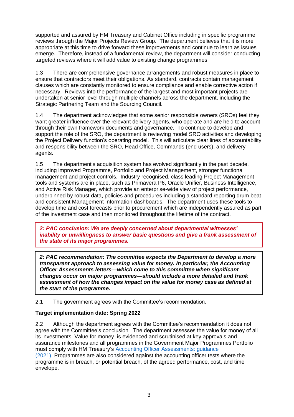supported and assured by HM Treasury and Cabinet Office including in specific programme reviews through the Major Projects Review Group. The department believes that it is more appropriate at this time to drive forward these improvements and continue to learn as issues emerge. Therefore, instead of a fundamental review, the department will consider conducting targeted reviews where it will add value to existing change programmes.

1.3 There are comprehensive governance arrangements and robust measures in place to ensure that contractors meet their obligations. As standard, contracts contain management clauses which are constantly monitored to ensure compliance and enable corrective action if necessary. Reviews into the performance of the largest and most important projects are undertaken at senior level through multiple channels across the department, including the Strategic Partnering Team and the Sourcing Council.

1.4 The department acknowledges that some senior responsible owners (SROs) feel they want greater influence over the relevant delivery agents, who operate and are held to account through their own framework documents and governance. To continue to develop and support the role of the SRO, the department is reviewing model SRO activities and developing the Project Delivery function's operating model. This will articulate clear lines of accountability and responsibility between the SRO, Head Office, Commands (end users), and delivery agents.

1.5 The department's acquisition system has evolved significantly in the past decade, including improved Programme, Portfolio and Project Management, stronger functional management and project controls. Industry recognised, class leading Project Management tools and systems are in place, such as Primavera P6, Oracle Unifier, Business Intelligence, and Active Risk Manager, which provide an enterprise-wide view of project performance, underpinned by robust data, policies and procedures including a standard reporting drum beat and consistent Management Information dashboards. The department uses these tools to develop time and cost forecasts prior to procurement which are independently assured as part of the investment case and then monitored throughout the lifetime of the contract.

*2: PAC conclusion: We are deeply concerned about departmental witnesses' inability or unwillingness to answer basic questions and give a frank assessment of the state of its major programmes.* 

*2: PAC recommendation: The committee expects the Department to develop a more transparent approach to assessing value for money. In particular, the Accounting Officer Assessments letters—which come to this committee when significant changes occur on major programmes—should include a more detailed and frank assessment of how the changes impact on the value for money case as defined at the start of the programme.*

2.1 The government agrees with the Committee's recommendation.

## **Target implementation date: Spring 2022**

2.2 Although the department agrees with the Committee's recommendation it does not agree with the Committee's conclusion. The department assesses the value for money of all its investments. Value for money is evidenced and scrutinised at key approvals and assurance milestones and all programmes in the Government Major Programmes Portfolio must comply with HM Treasury's [Accounting Officer Assessments: guidance](https://assets.publishing.service.gov.uk/government/uploads/system/uploads/attachment_data/file/1041897/AOA_guidance_December_2021_final.pdf)  [\(2021\).](https://assets.publishing.service.gov.uk/government/uploads/system/uploads/attachment_data/file/1041897/AOA_guidance_December_2021_final.pdf) Programmes are also considered against the accounting officer tests where the programme is in breach, or potential breach, of the agreed performance, cost, and time envelope.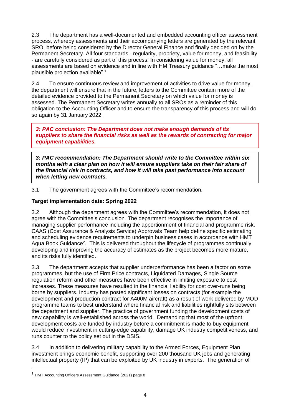2.3 The department has a well-documented and embedded accounting officer assessment process, whereby assessments and their accompanying letters are generated by the relevant SRO, before being considered by the Director General Finance and finally decided on by the Permanent Secretary. All four standards - regularity, propriety, value for money, and feasibility - are carefully considered as part of this process. In considering value for money, all assessments are based on evidence and in line with HM Treasury guidance "…make the most plausible projection available".<sup>1</sup>

2.4 To ensure continuous review and improvement of activities to drive value for money, the department will ensure that in the future, letters to the Committee contain more of the detailed evidence provided to the Permanent Secretary on which value for money is assessed. The Permanent Secretary writes annually to all SROs as a reminder of this obligation to the Accounting Officer and to ensure the transparency of this process and will do so again by 31 January 2022.

*3: PAC conclusion: The Department does not make enough demands of its suppliers to share the financial risks as well as the rewards of contracting for major equipment capabilities.* 

*3: PAC recommendation: The Department should write to the Committee within six months with a clear plan on how it will ensure suppliers take on their fair share of the financial risk in contracts, and how it will take past performance into account when letting new contracts.*

3.1 The government agrees with the Committee's recommendation.

## **Target implementation date: Spring 2022**

3.2 Although the department agrees with the Committee's recommendation, it does not agree with the Committee's conclusion. The department recognises the importance of managing supplier performance including the apportionment of financial and programme risk. CAAS (Cost Assurance & Analysis Service) Approvals Team help define specific estimating and scheduling evidence requirements to underpin business cases in accordance with HMT Aqua Book Guidance<sup>2</sup>. This is delivered throughout the lifecycle of programmes continually developing and improving the accuracy of estimates as the project becomes more mature, and its risks fully identified.

3.3 The department accepts that supplier underperformance has been a factor on some programmes, but the use of Firm Price contracts, Liquidated Damages, Single Source regulation reform and other measures have been effective in limiting exposure to cost increases. These measures have resulted in the financial liability for cost over-runs being borne by suppliers. Industry has posted significant losses on contracts (for example the development and production contract for A400M aircraft) as a result of work delivered by MOD programme teams to best understand where financial risk and liabilities rightfully sits between the department and supplier. The practice of government funding the development costs of new capability is well-established across the world. Demanding that most of the upfront development costs are funded by industry before a commitment is made to buy equipment would reduce investment in cutting-edge capability, damage UK industry competitiveness, and runs counter to the policy set out in the DSIS.

3.4 In addition to delivering military capability to the Armed Forces, Equipment Plan investment brings economic benefit, supporting over 200 thousand UK jobs and generating intellectual property (IP) that can be exploited by UK industry in exports. The generation of

<sup>&</sup>lt;sup>1</sup> [HMT Accounting Officers Assessment Guidance \(2021\) p](https://assets.publishing.service.gov.uk/government/uploads/system/uploads/attachment_data/file/1041897/AOA_guidance_December_2021_final.pdf)age 8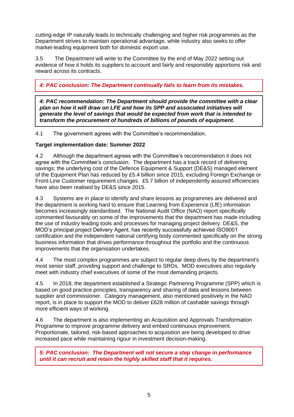cutting-edge IP naturally leads to technically challenging and higher risk programmes as the Department strives to maintain operational advantage, while industry also seeks to offer market-leading equipment both for domestic export use.

3.5 The Department will write to the Committee by the end of May 2022 setting out evidence of how it holds its suppliers to account and fairly and responsibly apportions risk and reward across its contracts.

*4: PAC conclusion: The Department continually fails to learn from its mistakes.*

*4: PAC recommendation: The Department should provide the committee with a clear plan on how it will draw on LFE and how its SPP and associated initiatives will generate the level of savings that would be expected from work that is intended to transform the procurement of hundreds of billions of pounds of equipment.*

4.1 The government agrees with the Committee's recommendation.

# **Target implementation date: Summer 2022**

4.2 Although the department agrees with the Committee's recommendation it does not agree with the Committee's conclusion. The department has a track record of delivering savings; the underlying cost of the Defence Equipment & Support (DE&S) managed element of the Equipment Plan has reduced by £5.4 billion since 2015, excluding Foreign Exchange or Front-Line Customer requirement changes. £5.7 billion of independently assured efficiencies have also been realised by DE&S since 2015.

4.3 Systems are in place to identify and share lessons as programmes are delivered and the department is working hard to ensure that Learning from Experience (LfE) information becomes increasingly standardised. The National Audit Office (NAO) report specifically commented favourably on some of the improvements that the department has made including the use of industry leading tools and processes for managing project delivery. DE&S, the MOD's principal project Delivery Agent, has recently successfully achieved ISO9001 certification and the independent national certifying body commented specifically on the strong business information that drives performance throughout the portfolio and the continuous improvements that the organisation undertakes.

4.4 The most complex programmes are subject to regular deep dives by the department's most senior staff, providing support and challenge to SROs. MOD executives also regularly meet with industry chief executives of some of the most demanding projects.

4.5 In 2018, the department established a Strategic Partnering Programme (SPP) which is based on good practice principles, transparency and sharing of data and lessons between supplier and commissioner. Category management, also mentioned positively in the NAO report, is in place to support the MOD to deliver £628 million of cashable savings through more efficient ways of working.

4.6 The department is also implementing an Acquisition and Approvals Transformation Programme to improve programme delivery and embed continuous improvement. Proportionate, tailored, risk-based approaches to acquisition are being developed to drive increased pace while maintaining rigour in investment decision-making.

*5: PAC conclusion: The Department will not secure a step change in performance until it can recruit and retain the highly skilled staff that it requires.*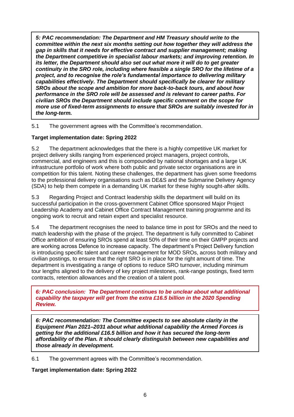*5: PAC recommendation: The Department and HM Treasury should write to the committee within the next six months setting out how together they will address the gap in skills that it needs for effective contract and supplier management; making the Department competitive in specialist labour markets; and improving retention. In its letter, the Department should also set out what more it will do to get greater continuity in the SRO role, including where feasible a single SRO for the lifetime of a project, and to recognise the role's fundamental importance to delivering military capabilities effectively. The Department should specifically be clearer for military SROs about the scope and ambition for more back-to-back tours, and about how performance in the SRO role will be assessed and is relevant to career paths. For civilian SROs the Department should include specific comment on the scope for more use of fixed-term assignments to ensure that SROs are suitably invested for in the long-term.* 

5.1 The government agrees with the Committee's recommendation.

## **Target implementation date: Spring 2022**

5.2 The department acknowledges that the there is a highly competitive UK market for project delivery skills ranging from experienced project managers, project controls, commercial, and engineers and this is compounded by national shortages and a large UK infrastructure portfolio of work where both public and private sector organisations are in competition for this talent. Noting these challenges, the department has given some freedoms to the professional delivery organisations such as DE&S and the Submarine Delivery Agency (SDA) to help them compete in a demanding UK market for these highly sought-after skills.

5.3 Regarding Project and Contract leadership skills the department will build on its successful participation in the cross-government Cabinet Office sponsored Major Project Leadership Academy and Cabinet Office Contract Management training programme and its ongoing work to recruit and retain expert and specialist resource.

5.4 The department recognises the need to balance time in post for SROs and the need to match leadership with the phase of the project. The department is fully committed to Cabinet Office ambition of ensuring SROs spend at least 50% of their time on their GMPP projects and are working across Defence to increase capacity. The department's Project Delivery function is introducing specific talent and career management for MOD SROs, across both military and civilian postings, to ensure that the right SRO is in place for the right amount of time. The department is investigating a range of options to reduce SRO turnover, including minimum tour lengths aligned to the delivery of key project milestones, rank-range postings, fixed term contracts, retention allowances and the creation of a talent pool.

*6: PAC conclusion: The Department continues to be unclear about what additional capability the taxpayer will get from the extra £16.5 billion in the 2020 Spending Review.* 

*6: PAC recommendation: The Committee expects to see absolute clarity in the Equipment Plan 2021–2031 about what additional capability the Armed Forces is getting for the additional £16.5 billion and how it has secured the long-term affordability of the Plan. It should clearly distinguish between new capabilities and those already in development.* 

6.1 The government agrees with the Committee's recommendation.

**Target implementation date: Spring 2022**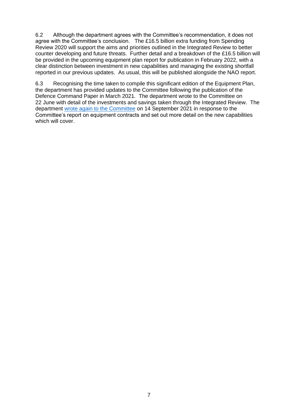6.2 Although the department agrees with the Committee's recommendation, it does not agree with the Committee's conclusion. The £16.5 billion extra funding from Spending Review 2020 will support the aims and priorities outlined in the Integrated Review to better counter developing and future threats. Further detail and a breakdown of the £16.5 billion will be provided in the upcoming equipment plan report for publication in February 2022, with a clear distinction between investment in new capabilities and managing the existing shortfall reported in our previous updates. As usual, this will be published alongside the NAO report.

6.3 Recognising the time taken to compile this significant edition of the Equipment Plan, the department has provided updates to the Committee following the publication of the Defence Command Paper in March 2021. The department wrote to the Committee on 22 June with detail of the investments and savings taken through the Integrated Review. The department [wrote again to the Committee](https://gbr01.safelinks.protection.outlook.com/?url=https%3A%2F%2Fcommittees.parliament.uk%2Fpublications%2F7394%2Fdocuments%2F77457%2Fdefault%2F&data=04%7C01%7CMitch.Mitchinson100%40mod.gov.uk%7C84cc4d366dbd40a92b9f08d9d43c504b%7Cbe7760ed5953484bae95d0a16dfa09e5%7C0%7C0%7C637774177924927412%7CUnknown%7CTWFpbGZsb3d8eyJWIjoiMC4wLjAwMDAiLCJQIjoiV2luMzIiLCJBTiI6Ik1haWwiLCJXVCI6Mn0%3D%7C3000&sdata=yxL2qunEznqq3f5Wz4kgUOX4CvSqDB9gZ6gGWrwm9tg%3D&reserved=0) on 14 September 2021 in response to the Committee's report on equipment contracts and set out more detail on the new capabilities which will cover.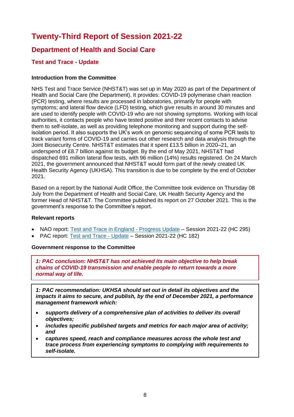# **Twenty-Third Report of Session 2021-22**

# **Department of Health and Social Care**

# **Test and Trace - Update**

#### **Introduction from the Committee**

NHS Test and Trace Service (NHST&T) was set up in May 2020 as part of the Department of Health and Social Care (the Department). It provides: COVID-19 polymerase chain reaction (PCR) testing, where results are processed in laboratories, primarily for people with symptoms; and lateral flow device (LFD) testing, which give results in around 30 minutes and are used to identify people with COVID-19 who are not showing symptoms. Working with local authorities, it contacts people who have tested positive and their recent contacts to advise them to self-isolate, as well as providing telephone monitoring and support during the selfisolation period. It also supports the UK's work on genomic sequencing of some PCR tests to track variant forms of COVID-19 and carries out other research and data analysis through the Joint Biosecurity Centre. NHST&T estimates that it spent £13.5 billion in 2020–21, an underspend of £8.7 billion against its budget. By the end of May 2021, NHST&T had dispatched 691 million lateral flow tests, with 96 million (14%) results registered. On 24 March 2021, the government announced that NHST&T would form part of the newly created UK Health Security Agency (UKHSA). This transition is due to be complete by the end of October 2021.

Based on a report by the National Audit Office, the Committee took evidence on Thursday 08 July from the Department of Health and Social Care, UK Health Security Agency and the former Head of NHST&T. The Committee published its report on 27 October 2021. This is the government's response to the Committee's report.

#### **Relevant reports**

- NAO report: [Test and Trace in England Progress Update](https://www.nao.org.uk/wp-content/uploads/2021/06/Test-and-trace-in-England-progress-update.pdf) Session 2021-22 (HC 295)
- PAC report: [Test and Trace Update](https://committees.parliament.uk/publications/7651/documents/79945/default/) Session 2021-22 (HC 182)

#### **Government response to the Committee**

*1: PAC conclusion: NHST&T has not achieved its main objective to help break chains of COVID-19 transmission and enable people to return towards a more normal way of life.* 

*1: PAC recommendation: UKHSA should set out in detail its objectives and the impacts it aims to secure, and publish, by the end of December 2021, a performance management framework which:* 

- *supports delivery of a comprehensive plan of activities to deliver its overall objectives;*
- *includes specific published targets and metrics for each major area of activity; and*
- *captures speed, reach and compliance measures across the whole test and trace process from experiencing symptoms to complying with requirements to self-isolate.*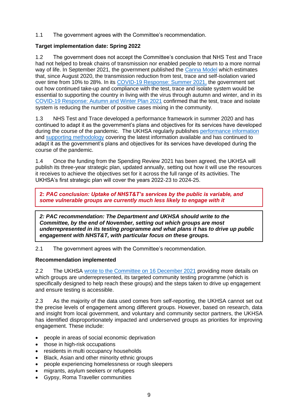1.1 The government agrees with the Committee's recommendation.

# **Target implementation date: Spring 2022**

1.2 The government does not accept the Committee's conclusion that NHS Test and Trace had not helped to break chains of transmission nor enabled people to return to a more normal way of life. In September 2021, the government published the [Canna Model](https://www.gov.uk/government/publications/the-canna-model) which estimates that, since August 2020, the transmission reduction from test, trace and self-isolation varied over time from 10% to 28%. In its [COVID-19 Response: Summer 2021,](https://www.gov.uk/government/publications/covid-19-response-summer-2021-roadmap) the government set out how continued take-up and compliance with the test, trace and isolate system would be essential to supporting the country in living with the virus through autumn and winter, and in its [COVID-19 Response: Autumn and Winter Plan 2021](https://www.gov.uk/government/publications/covid-19-response-autumn-and-winter-plan-2021/covid-19-response-autumn-and-winter-plan-2021) confirmed that the test, trace and isolate system is reducing the number of positive cases mixing in the community.

1.3 NHS Test and Trace developed a performance framework in summer 2020 and has continued to adapt it as the government's plans and objectives for its services have developed during the course of the pandemic. The UKHSA regularly publishes [performance information](https://www.gov.uk/government/collections/nhs-test-and-trace-statistics-england-weekly-reports) and [supporting methodology](https://www.gov.uk/government/publications/nhs-test-and-trace-statistics-england-methodology/nhs-test-and-trace-statistics-england-methodology) covering the latest information available and has continued to adapt it as the government's plans and objectives for its services have developed during the course of the pandemic.

1.4 Once the funding from the Spending Review 2021 has been agreed, the UKHSA will publish its three-year strategic plan, updated annually, setting out how it will use the resources it receives to achieve the objectives set for it across the full range of its activities. The UKHSA's first strategic plan will cover the years 2022-23 to 2024-25.

**2:** *PAC conclusion: Uptake of NHST&T's services by the public is variable, and some vulnerable groups are currently much less likely to engage with it* 

*2: PAC recommendation: The Department and UKHSA should write to the Committee, by the end of November, setting out which groups are most underrepresented in its testing programme and what plans it has to drive up public engagement with NHST&T, with particular focus on these groups.* 

2.1 The government agrees with the Committee's recommendation.

## **Recommendation implemented**

2.2 The UKHSA [wrote to the Committee on 16 December 2021](https://committees.parliament.uk/publications/8425/documents/85514/default/) providing more details on which groups are underrepresented, its targeted community testing programme (which is specifically designed to help reach these groups) and the steps taken to drive up engagement and ensure testing is accessible.

2.3 As the majority of the data used comes from self-reporting, the UKHSA cannot set out the precise levels of engagement among different groups. However, based on research, data and insight from local government, and voluntary and community sector partners, the UKHSA has identified disproportionately impacted and underserved groups as priorities for improving engagement. These include:

- people in areas of social economic deprivation
- those in high-risk occupations
- residents in multi occupancy households
- Black, Asian and other minority ethnic groups
- people experiencing homelessness or rough sleepers
- migrants, asylum seekers or refugees
- Gypsy, Roma Traveller communities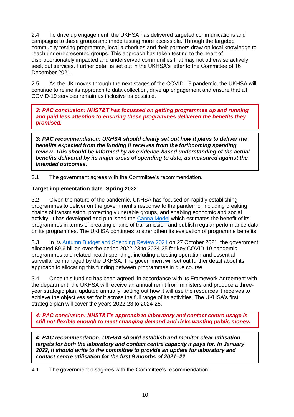2.4 To drive up engagement, the UKHSA has delivered targeted communications and campaigns to these groups and made testing more accessible. Through the targeted community testing programme, local authorities and their partners draw on local knowledge to reach underrepresented groups. This approach has taken testing to the heart of disproportionately impacted and underserved communities that may not otherwise actively seek out services. Further detail is set out in the UKHSA's letter to the Committee of 16 December 2021.

2.5 As the UK moves through the next stages of the COVID-19 pandemic, the UKHSA will continue to refine its approach to data collection, drive up engagement and ensure that all COVID-19 services remain as inclusive as possible.

*3: PAC conclusion: NHST&T has focussed on getting programmes up and running and paid less attention to ensuring these programmes delivered the benefits they promised.* 

*3: PAC recommendation: UKHSA should clearly set out how it plans to deliver the benefits expected from the funding it receives from the forthcoming spending review. This should be informed by an evidence-based understanding of the actual benefits delivered by its major areas of spending to date, as measured against the intended outcomes.* 

3.1 The government agrees with the Committee's recommendation.

## **Target implementation date: Spring 2022**

3.2 Given the nature of the pandemic, UKHSA has focused on rapidly establishing programmes to deliver on the government's response to the pandemic, including breaking chains of transmission, protecting vulnerable groups, and enabling economic and social activity. It has developed and published the [Canna Model](https://www.gov.uk/government/publications/the-canna-model) which estimates the benefit of its programmes in terms of breaking chains of transmission and publish regular performance data on its programmes. The UKHSA continues to strengthen its evaluation of programme benefits.

3.3 In its [Autumn Budget and Spending Review 2021](https://www.gov.uk/government/publications/autumn-budget-and-spending-review-2021-documents) on 27 October 2021, the government allocated £9.6 billion over the period 2022-23 to 2024-25 for key COVID-19 pandemic programmes and related health spending, including a testing operation and essential surveillance managed by the UKHSA. The government will set out further detail about its approach to allocating this funding between programmes in due course.

3.4 Once this funding has been agreed, in accordance with its Framework Agreement with the department, the UKHSA will receive an annual remit from ministers and produce a threeyear strategic plan, updated annually, setting out how it will use the resources it receives to achieve the objectives set for it across the full range of its activities. The UKHSA's first strategic plan will cover the years 2022-23 to 2024-25.

*4: PAC conclusion: NHST&T's approach to laboratory and contact centre usage is still not flexible enough to meet changing demand and risks wasting public money.* 

*4: PAC recommendation: UKHSA should establish and monitor clear utilisation targets for both the laboratory and contact centre capacity it pays for. In January 2022, it should write to the committee to provide an update for laboratory and contact centre utilisation for the first 9 months of 2021–22.*

4.1 The government disagrees with the Committee's recommendation.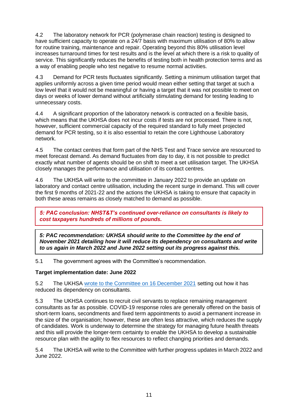4.2 The laboratory network for PCR (polymerase chain reaction) testing is designed to have sufficient capacity to operate on a 24/7 basis with maximum utilisation of 80% to allow for routine training, maintenance and repair. Operating beyond this 80% utilisation level increases turnaround times for test results and is the level at which there is a risk to quality of service. This significantly reduces the benefits of testing both in health protection terms and as a way of enabling people who test negative to resume normal activities.

4.3 Demand for PCR tests fluctuates significantly. Setting a minimum utilisation target that applies uniformly across a given time period would mean either setting that target at such a low level that it would not be meaningful or having a target that it was not possible to meet on days or weeks of lower demand without artificially stimulating demand for testing leading to unnecessary costs.

4.4 A significant proportion of the laboratory network is contracted on a flexible basis, which means that the UKHSA does not incur costs if tests are not processed. There is not, however, sufficient commercial capacity of the required standard to fully meet projected demand for PCR testing, so it is also essential to retain the core Lighthouse Laboratory network.

4.5 The contact centres that form part of the NHS Test and Trace service are resourced to meet forecast demand. As demand fluctuates from day to day, it is not possible to predict exactly what number of agents should be on shift to meet a set utilisation target. The UKHSA closely manages the performance and utilisation of its contact centres.

4.6 The UKHSA will write to the committee in January 2022 to provide an update on laboratory and contact centre utilisation, including the recent surge in demand. This will cover the first 9 months of 2021-22 and the actions the UKHSA is taking to ensure that capacity in both these areas remains as closely matched to demand as possible.

*5: PAC conclusion: NHST&T's continued over-reliance on consultants is likely to cost taxpayers hundreds of millions of pounds.* 

*5: PAC recommendation: UKHSA should write to the Committee by the end of November 2021 detailing how it will reduce its dependency on consultants and write to us again in March 2022 and June 2022 setting out its progress against this.* 

5.1 The government agrees with the Committee's recommendation.

## **Target implementation date: June 2022**

5.2 The UKHSA [wrote to the Committee on 16 December 2021](https://committees.parliament.uk/publications/8425/documents/85514/default/) setting out how it has reduced its dependency on consultants.

5.3 The UKHSA continues to recruit civil servants to replace remaining management consultants as far as possible. COVID-19 response roles are generally offered on the basis of short-term loans, secondments and fixed term appointments to avoid a permanent increase in the size of the organisation; however, these are often less attractive, which reduces the supply of candidates. Work is underway to determine the strategy for managing future health threats and this will provide the longer-term certainty to enable the UKHSA to develop a sustainable resource plan with the agility to flex resources to reflect changing priorities and demands.

5.4 The UKHSA will write to the Committee with further progress updates in March 2022 and June 2022.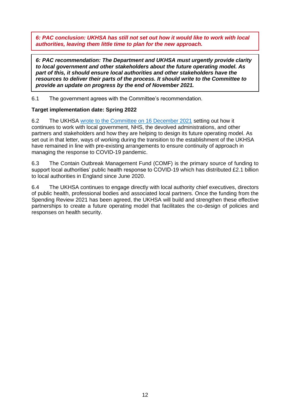*6: PAC conclusion: UKHSA has still not set out how it would like to work with local authorities, leaving them little time to plan for the new approach.*

*6: PAC recommendation: The Department and UKHSA must urgently provide clarity to local government and other stakeholders about the future operating model. As part of this, it should ensure local authorities and other stakeholders have the resources to deliver their parts of the process. It should write to the Committee to provide an update on progress by the end of November 2021.* 

6.1 The government agrees with the Committee's recommendation.

## **Target implementation date: Spring 2022**

6.2 The UKHSA [wrote to the Committee on 16 December 2021](https://committees.parliament.uk/publications/8425/documents/85514/default/) setting out how it continues to work with local government, NHS, the devolved administrations, and other partners and stakeholders and how they are helping to design its future operating model. As set out in that letter, ways of working during the transition to the establishment of the UKHSA have remained in line with pre-existing arrangements to ensure continuity of approach in managing the response to COVID-19 pandemic.

6.3 The Contain Outbreak Management Fund (COMF) is the primary source of funding to support local authorities' public health response to COVID-19 which has distributed £2.1 billion to local authorities in England since June 2020.

6.4 The UKHSA continues to engage directly with local authority chief executives, directors of public health, professional bodies and associated local partners. Once the funding from the Spending Review 2021 has been agreed, the UKHSA will build and strengthen these effective partnerships to create a future operating model that facilitates the co-design of policies and responses on health security.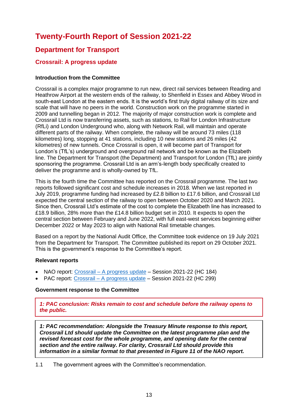# **Twenty-Fourth Report of Session 2021-22**

# **Department for Transport**

# **Crossrail: A progress update**

#### **Introduction from the Committee**

Crossrail is a complex major programme to run new, direct rail services between Reading and Heathrow Airport at the western ends of the railway, to Shenfield in Essex and Abbey Wood in south-east London at the eastern ends. It is the world's first truly digital railway of its size and scale that will have no peers in the world. Construction work on the programme started in 2009 and tunnelling began in 2012. The majority of major construction work is complete and Crossrail Ltd is now transferring assets, such as stations, to Rail for London Infrastructure (RfLi) and London Underground who, along with Network Rail, will maintain and operate different parts of the railway. When complete, the railway will be around 73 miles (118 kilometres) long, stopping at 41 stations, including 10 new stations and 26 miles (42 kilometres) of new tunnels. Once Crossrail is open, it will become part of Transport for London's (TfL's) underground and overground rail network and be known as the Elizabeth line. The Department for Transport (the Department) and Transport for London (TfL) are jointly sponsoring the programme. Crossrail Ltd is an arm's-length body specifically created to deliver the programme and is wholly-owned by TfL.

This is the fourth time the Committee has reported on the Crossrail programme. The last two reports followed significant cost and schedule increases in 2018. When we last reported in July 2019, programme funding had increased by £2.8 billion to £17.6 billion, and Crossrail Ltd expected the central section of the railway to open between October 2020 and March 2021. Since then, Crossrail Ltd's estimate of the cost to complete the Elizabeth line has increased to £18.9 billion, 28% more than the £14.8 billion budget set in 2010. It expects to open the central section between February and June 2022, with full east-west services beginning either December 2022 or May 2023 to align with National Rail timetable changes.

Based on a report by the National Audit Office, the Committee took evidence on 19 July 2021 from the Department for Transport. The Committee published its report on 29 October 2021. This is the government's response to the Committee's report.

#### **Relevant reports**

- NAO report: [Crossrail A progress update](https://www.nao.org.uk/wp-content/uploads/2021/07/Crossrail-a-progress-update-2.pdf) Session 2021-22 (HC 184)
- PAC report: [Crossrail A progress update](https://committees.parliament.uk/publications/7672/documents/80054/default/) Session 2021-22 (HC 299)

#### **Government response to the Committee**

*1: PAC conclusion: Risks remain to cost and schedule before the railway opens to the public.* 

*1: PAC recommendation: Alongside the Treasury Minute response to this report, Crossrail Ltd should update the Committee on the latest programme plan and the revised forecast cost for the whole programme, and opening date for the central section and the entire railway. For clarity, Crossrail Ltd should provide this information in a similar format to that presented in Figure 11 of the NAO report.* 

1.1 The government agrees with the Committee's recommendation.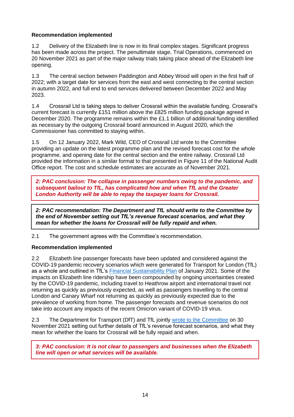## **Recommendation implemented**

1.2 Delivery of the Elizabeth line is now in its final complex stages. Significant progress has been made across the project. The penultimate stage, Trial Operations, commenced on 20 November 2021 as part of the major railway trials taking place ahead of the Elizabeth line opening.

1.3 The central section between Paddington and Abbey Wood will open in the first half of 2022; with a target date for services from the east and west connecting to the central section in autumn 2022, and full end to end services delivered between December 2022 and May 2023.

1.4 Crossrail Ltd is taking steps to deliver Crossrail within the available funding. Crossrail's current forecast is currently £151 million above the £825 million funding package agreed in December 2020. The programme remains within the £1.1 billion of additional funding identified as necessary by the outgoing Crossrail board announced in August 2020, which the Commissioner has committed to staying within.

1.5 On 12 January 2022, Mark Wild, CEO of Crossrail Ltd wrote to the Committee providing an update on the latest programme plan and the revised forecast cost for the whole programme, and opening date for the central section and the entire railway. Crossrail Ltd provided the information in a similar format to that presented in Figure 11 of the National Audit Office report. The cost and schedule estimates are accurate as of November 2021.

*2: PAC conclusion: The collapse in passenger numbers owing to the pandemic, and subsequent bailout to TfL, has complicated how and when TfL and the Greater London Authority will be able to repay the taxpayer loans for Crossrail.* 

*2: PAC recommendation: The Department and TfL should write to the Committee by the end of November setting out TfL's revenue forecast scenarios, and what they mean for whether the loans for Crossrail will be fully repaid and when.* 

2.1 The government agrees with the Committee's recommendation.

## **Recommendation implemented**

2.2 Elizabeth line passenger forecasts have been updated and considered against the COVID-19 pandemic recovery scenarios which were generated for Transport for London (TfL) as a whole and outlined in TfL's [Financial Sustainability Plan](https://content.tfl.gov.uk/financial-sustainability-plan-11-january-2021.pdf) of January 2021. Some of the impacts on Elizabeth line ridership have been compounded by ongoing uncertainties created by the COVID-19 pandemic, including travel to Heathrow airport and international travel not returning as quickly as previously expected, as well as passengers travelling to the central London and Canary Wharf not returning as quickly as previously expected due to the prevalence of working from home. The passenger forecasts and revenue scenarios do not take into account any impacts of the recent Omicron variant of COVID-19 virus.

2.3 The Department for Transport (DfT) and TfL jointly [wrote to the Committee](https://committees.parliament.uk/publications/8115/documents/83292/default/) on 30 November 2021 setting out further details of TfL's revenue forecast scenarios, and what they mean for whether the loans for Crossrail will be fully repaid and when.

*3: PAC conclusion: It is not clear to passengers and businesses when the Elizabeth line will open or what services will be available.*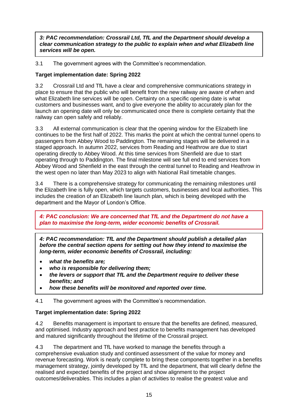*3: PAC recommendation: Crossrail Ltd, TfL and the Department should develop a clear communication strategy to the public to explain when and what Elizabeth line services will be open.* 

3.1 The government agrees with the Committee's recommendation.

## **Target implementation date: Spring 2022**

3.2 Crossrail Ltd and TfL have a clear and comprehensive communications strategy in place to ensure that the public who will benefit from the new railway are aware of when and what Elizabeth line services will be open. Certainty on a specific opening date is what customers and businesses want, and to give everyone the ability to accurately plan for the launch an opening date will only be communicated once there is complete certainty that the railway can open safely and reliably.

3.3 All external communication is clear that the opening window for the Elizabeth line continues to be the first half of 2022. This marks the point at which the central tunnel opens to passengers from Abbey Wood to Paddington. The remaining stages will be delivered in a staged approach. In autumn 2022, services from Reading and Heathrow are due to start operating directly to Abbey Wood. At this time services from Shenfield are due to start operating through to Paddington. The final milestone will see full end to end services from Abbey Wood and Shenfield in the east through the central tunnel to Reading and Heathrow in the west open no later than May 2023 to align with National Rail timetable changes.

3.4 There is a comprehensive strategy for communicating the remaining milestones until the Elizabeth line is fully open, which targets customers, businesses and local authorities. This includes the creation of an Elizabeth line launch plan, which is being developed with the department and the Mayor of London's Office.

*4: PAC conclusion: We are concerned that TfL and the Department do not have a plan to maximise the long-term, wider economic benefits of Crossrail.* 

*4: PAC recommendation: TfL and the Department should publish a detailed plan before the central section opens for setting out how they intend to maximise the long-term, wider economic benefits of Crossrail, including:* 

- *what the benefits are;*
- *who is responsible for delivering them;*
- *the levers or support that TfL and the Department require to deliver these benefits; and*
- *how these benefits will be monitored and reported over time.*

4.1 The government agrees with the Committee's recommendation.

## **Target implementation date: Spring 2022**

4.2 Benefits management is important to ensure that the benefits are defined, measured, and optimised. Industry approach and best practice to benefits management has developed and matured significantly throughout the lifetime of the Crossrail project.

4.3 The department and TfL have worked to manage the benefits through a comprehensive evaluation study and continued assessment of the value for money and revenue forecasting. Work is nearly complete to bring these components together in a benefits management strategy, jointly developed by TfL and the department, that will clearly define the realised and expected benefits of the project and show alignment to the project outcomes/deliverables. This includes a plan of activities to realise the greatest value and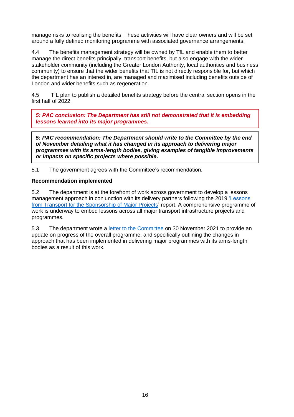manage risks to realising the benefits. These activities will have clear owners and will be set around a fully defined monitoring programme with associated governance arrangements.

4.4 The benefits management strategy will be owned by TfL and enable them to better manage the direct benefits principally, transport benefits, but also engage with the wider stakeholder community (including the Greater London Authority, local authorities and business community) to ensure that the wider benefits that TfL is not directly responsible for, but which the department has an interest in, are managed and maximised including benefits outside of London and wider benefits such as regeneration.

4.5 TfL plan to publish a detailed benefits strategy before the central section opens in the first half of 2022.

*5: PAC conclusion: The Department has still not demonstrated that it is embedding lessons learned into its major programmes.* 

*5: PAC recommendation: The Department should write to the Committee by the end of November detailing what it has changed in its approach to delivering major programmes with its arms-length bodies, giving examples of tangible improvements or impacts on specific projects where possible.* 

5.1 The government agrees with the Committee's recommendation.

#### **Recommendation implemented**

5.2 The department is at the forefront of work across government to develop a lessons management approach in conjunction with its delivery partners following the 2019 ['Lessons](https://assets.publishing.service.gov.uk/government/uploads/system/uploads/attachment_data/file/796294/dft-review-of-lessons.pdf)  [from Transport for the Sponsorship of Major Projects'](https://assets.publishing.service.gov.uk/government/uploads/system/uploads/attachment_data/file/796294/dft-review-of-lessons.pdf) report. A comprehensive programme of work is underway to embed lessons across all major transport infrastructure projects and programmes.

5.3 The department wrote a [letter to the Committee](https://committees.parliament.uk/publications/8523/documents/86257/default/) on 30 November 2021 to provide an update on progress of the overall programme, and specifically outlining the changes in approach that has been implemented in delivering major programmes with its arms-length bodies as a result of this work.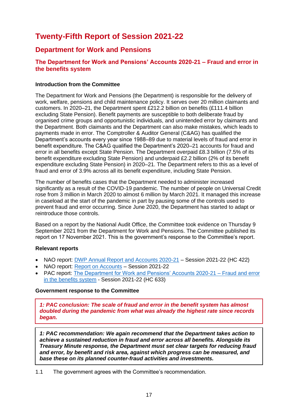# **Twenty-Fifth Report of Session 2021-22**

# **Department for Work and Pensions**

# **The Department for Work and Pensions' Accounts 2020-21 – Fraud and error in the benefits system**

#### **Introduction from the Committee**

The Department for Work and Pensions (the Department) is responsible for the delivery of work, welfare, pensions and child maintenance policy. It serves over 20 million claimants and customers. In 2020–21, the Department spent £212.2 billion on benefits (£111.4 billion excluding State Pension). Benefit payments are susceptible to both deliberate fraud by organised crime groups and opportunistic individuals, and unintended error by claimants and the Department. Both claimants and the Department can also make mistakes, which leads to payments made in error. The Comptroller & Auditor General (C&AG) has qualified the Department's accounts every year since 1988–89 due to material levels of fraud and error in benefit expenditure. The C&AG qualified the Department's 2020–21 accounts for fraud and error in all benefits except State Pension. The Department overpaid £8.3 billion (7.5% of its benefit expenditure excluding State Pension) and underpaid £2.2 billion (2% of its benefit expenditure excluding State Pension) in 2020–21. The Department refers to this as a level of fraud and error of 3.9% across all its benefit expenditure, including State Pension.

The number of benefits cases that the Department needed to administer increased significantly as a result of the COVID-19 pandemic. The number of people on Universal Credit rose from 3 million in March 2020 to almost 6 million by March 2021. It managed this increase in caseload at the start of the pandemic in part by pausing some of the controls used to prevent fraud and error occurring. Since June 2020, the Department has started to adapt or reintroduce those controls.

Based on a report by the National Audit Office, the Committee took evidence on Thursday 9 September 2021 from the Department for Work and Pensions. The Committee published its report on 17 November 2021. This is the government's response to the Committee's report.

#### **Relevant reports**

- NAO report: [DWP Annual Report and Accounts 2020-21](https://assets.publishing.service.gov.uk/government/uploads/system/uploads/attachment_data/file/1005399/dwp-annual-report-and-accounts-2020-2021-web-ready.pdf) Session 2021-22 (HC 422)
- NAO report: [Report on Accounts](https://www.nao.org.uk/wp-content/uploads/2021/07/Department-for-Work-and-Pensions-Accounts-2020-21.pdf) Session 2021-22
- PAC report: The Department for Work and Pensions' Accounts 2020-21 Fraud and error [in the benefits system](https://committees.parliament.uk/publications/7826/documents/81504/default/) - Session 2021-22 (HC 633)

## **Government response to the Committee**

*1: PAC conclusion: The scale of fraud and error in the benefit system has almost doubled during the pandemic from what was already the highest rate since records began.*

*1: PAC recommendation: We again recommend that the Department takes action to achieve a sustained reduction in fraud and error across all benefits. Alongside its Treasury Minute response, the Department must set clear targets for reducing fraud and error, by benefit and risk area, against which progress can be measured, and base these on its planned counter-fraud activities and investments.* 

1.1 The government agrees with the Committee's recommendation.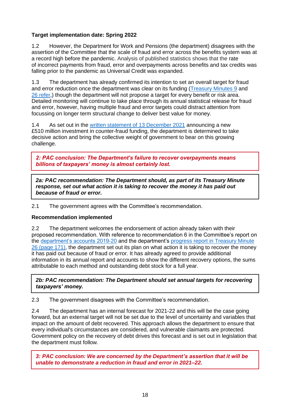# **Target implementation date: Spring 2022**

1.2 However, the Department for Work and Pensions (the department) disagrees with the assertion of the Committee that the scale of fraud and error across the benefits system was at a record high before the pandemic. Analysis of published statistics shows that the rate of incorrect payments from fraud, error and overpayments across benefits and tax credits was falling prior to the pandemic as Universal Credit was expanded.

1.3 The department has already confirmed its intention to set an overall target for fraud and error reduction once the department was clear on its funding [\(Treasury Minutes 9](https://assets.publishing.service.gov.uk/government/uploads/system/uploads/attachment_data/file/1018157/E02671867_CP_520_Treasury_Minute_Accessible.pdf) and [26 refer,](https://assets.publishing.service.gov.uk/government/uploads/system/uploads/attachment_data/file/957445/CCS207_CCS0121913340-001_Government_responses_to_the_Committee_of_Public_Accounts_Accessible.pdf)) though the department will not propose a target for every benefit or risk area. Detailed monitoring will continue to take place through its annual statistical release for fraud and error, however, having multiple fraud and error targets could distract attention from focussing on longer term structural change to deliver best value for money.

1.4 As set out in the [written statement of 13 December 2021](https://questions-statements.parliament.uk/written-statements/detail/2021-12-13/hcws471) announcing a new £510 million investment in counter-fraud funding, the department is determined to take decisive action and bring the collective weight of government to bear on this growing challenge.

*2: PAC conclusion: The Department's failure to recover overpayments means billions of taxpayers' money is almost certainly lost.*

*2a: PAC recommendation: The Department should, as part of its Treasury Minute response, set out what action it is taking to recover the money it has paid out because of fraud or error.*

2.1 The government agrees with the Committee's recommendation.

## **Recommendation implemented**

2.2 The department welcomes the endorsement of action already taken with their proposed recommendation. With reference to recommendation 6 in the Committee's report on the [department's accounts 2019-20](https://committees.parliament.uk/publications/3503/documents/33555/default/) and the department's progress report in Treasury Minute [26](https://assets.publishing.service.gov.uk/government/uploads/system/uploads/attachment_data/file/1032614/E02690725_TM_Progress_Report_CP_549_Web_Accessible.pdf) (page 171), the department set out its plan on what action it is taking to recover the money it has paid out because of fraud or error. It has already agreed to provide additional information in its annual report and accounts to show the different recovery options, the sums attributable to each method and outstanding debt stock for a full year.

*2b: PAC recommendation: The Department should set annual targets for recovering taxpayers' money.*

2.3 The government disagrees with the Committee's recommendation.

2.4 The department has an internal forecast for 2021-22 and this will be the case going forward, but an external target will not be set due to the level of uncertainty and variables that impact on the amount of debt recovered. This approach allows the department to ensure that every individual's circumstances are considered, and vulnerable claimants are protected. Government policy on the recovery of debt drives this forecast and is set out in legislation that the department must follow.

*3: PAC conclusion: We are concerned by the Department's assertion that it will be unable to demonstrate a reduction in fraud and error in 2021–22.*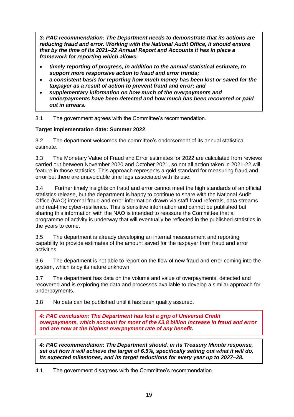*3: PAC recommendation: The Department needs to demonstrate that its actions are reducing fraud and error. Working with the National Audit Office, it should ensure that by the time of its 2021–22 Annual Report and Accounts it has in place a framework for reporting which allows:* 

- *timely reporting of progress, in addition to the annual statistical estimate, to support more responsive action to fraud and error trends;*
- *a consistent basis for reporting how much money has been lost or saved for the taxpayer as a result of action to prevent fraud and error; and*
- *supplementary information on how much of the overpayments and underpayments have been detected and how much has been recovered or paid out in arrears.*

## 3.1 The government agrees with the Committee's recommendation.

#### **Target implementation date: Summer 2022**

3.2 The department welcomes the committee's endorsement of its annual statistical estimate.

3.3 The Monetary Value of Fraud and Error estimates for 2022 are calculated from reviews carried out between November 2020 and October 2021, so not all action taken in 2021-22 will feature in those statistics. This approach represents a gold standard for measuring fraud and error but there are unavoidable time lags associated with its use.

3.4 Further timely insights on fraud and error cannot meet the high standards of an official statistics release, but the department is happy to continue to share with the National Audit Office (NAO) internal fraud and error information drawn via staff fraud referrals, data streams and real-time cyber-resilience. This is sensitive information and cannot be published but sharing this information with the NAO is intended to reassure the Committee that a programme of activity is underway that will eventually be reflected in the published statistics in the years to come.

3.5 The department is already developing an internal measurement and reporting capability to provide estimates of the amount saved for the taxpayer from fraud and error activities.

3.6 The department is not able to report on the flow of new fraud and error coming into the system, which is by its nature unknown.

3.7 The department has data on the volume and value of overpayments, detected and recovered and is exploring the data and processes available to develop a similar approach for underpayments.

3.8 No data can be published until it has been quality assured.

*4: PAC conclusion: The Department has lost a grip of Universal Credit overpayments, which account for most of the £3.8 billion increase in fraud and error and are now at the highest overpayment rate of any benefit.* 

*4: PAC recommendation: The Department should, in its Treasury Minute response, set out how it will achieve the target of 6.5%, specifically setting out what it will do, its expected milestones, and its target reductions for every year up to 2027–28.*

4.1 The government disagrees with the Committee's recommendation.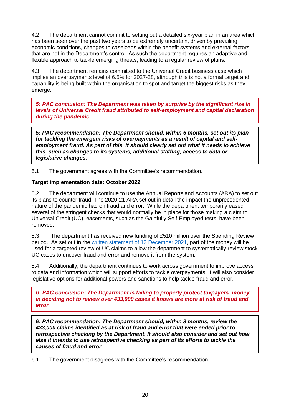4.2 The department cannot commit to setting out a detailed six-year plan in an area which has been seen over the past two years to be extremely uncertain, driven by prevailing economic conditions, changes to caseloads within the benefit systems and external factors that are not in the Department's control. As such the department requires an adaptive and flexible approach to tackle emerging threats, leading to a regular review of plans.

4.3 The department remains committed to the Universal Credit business case which implies an overpayments level of 6.5% for 2027-28, although this is not a formal target and capability is being built within the organisation to spot and target the biggest risks as they emerge.

*5: PAC conclusion: The Department was taken by surprise by the significant rise in levels of Universal Credit fraud attributed to self-employment and capital declaration during the pandemic.* 

*5: PAC recommendation: The Department should, within 6 months, set out its plan for tackling the emergent risks of overpayments as a result of capital and selfemployment fraud. As part of this, it should clearly set out what it needs to achieve this, such as changes to its systems, additional staffing, access to data or legislative changes.* 

5.1 The government agrees with the Committee's recommendation.

#### **Target implementation date: October 2022**

5.2 The department will continue to use the Annual Reports and Accounts (ARA) to set out its plans to counter fraud. The 2020-21 ARA set out in detail the impact the unprecedented nature of the pandemic had on fraud and error. While the department temporarily eased several of the stringent checks that would normally be in place for those making a claim to Universal Credit (UC), easements, such as the Gainfully Self-Employed tests, have been removed.

5.3 The department has received new funding of £510 million over the Spending Review period. As set out in the [written statement of 13 December 2021,](https://questions-statements.parliament.uk/written-statements/detail/2021-12-13/hcws471) part of the money will be used for a targeted review of UC claims to allow the department to systematically review stock UC cases to uncover fraud and error and remove it from the system.

5.4 Additionally, the department continues to work across government to improve access to data and information which will support efforts to tackle overpayments. It will also consider legislative options for additional powers and sanctions to help tackle fraud and error.

*6: PAC conclusion: The Department is failing to properly protect taxpayers' money in deciding not to review over 433,000 cases it knows are more at risk of fraud and error.* 

*6: PAC recommendation: The Department should, within 9 months, review the 433,000 claims identified as at risk of fraud and error that were ended prior to retrospective checking by the Department. It should also consider and set out how else it intends to use retrospective checking as part of its efforts to tackle the causes of fraud and error.* 

6.1 The government disagrees with the Committee's recommendation.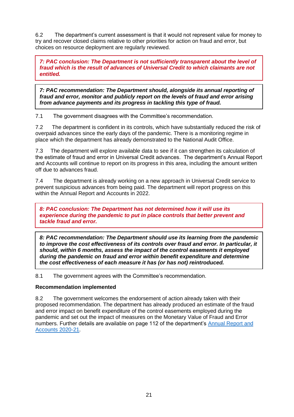6.2 The department's current assessment is that it would not represent value for money to try and recover closed claims relative to other priorities for action on fraud and error, but choices on resource deployment are regularly reviewed.

*7: PAC conclusion: The Department is not sufficiently transparent about the level of fraud which is the result of advances of Universal Credit to which claimants are not entitled.* 

*7: PAC recommendation: The Department should, alongside its annual reporting of fraud and error, monitor and publicly report on the levels of fraud and error arising from advance payments and its progress in tackling this type of fraud.*

7.1 The government disagrees with the Committee's recommendation.

7.2 The department is confident in its controls, which have substantially reduced the risk of overpaid advances since the early days of the pandemic. There is a monitoring regime in place which the department has already demonstrated to the National Audit Office.

7.3 The department will explore available data to see if it can strengthen its calculation of the estimate of fraud and error in Universal Credit advances. The department's Annual Report and Accounts will continue to report on its progress in this area, including the amount written off due to advances fraud.

7.4 The department is already working on a new approach in Universal Credit service to prevent suspicious advances from being paid. The department will report progress on this within the Annual Report and Accounts in 2022.

*8: PAC conclusion: The Department has not determined how it will use its experience during the pandemic to put in place controls that better prevent and tackle fraud and error.* 

*8: PAC recommendation: The Department should use its learning from the pandemic to improve the cost effectiveness of its controls over fraud and error. In particular, it should, within 6 months, assess the impact of the control easements it employed during the pandemic on fraud and error within benefit expenditure and determine the cost effectiveness of each measure it has (or has not) reintroduced.* 

8.1 The government agrees with the Committee's recommendation.

## **Recommendation implemented**

8.2 The government welcomes the endorsement of action already taken with their proposed recommendation. The department has already produced an estimate of the fraud and error impact on benefit expenditure of the control easements employed during the pandemic and set out the impact of measures on the Monetary Value of Fraud and Error numbers. Further details are available on page 112 of the department's [Annual Report and](https://assets.publishing.service.gov.uk/government/uploads/system/uploads/attachment_data/file/1005399/dwp-annual-report-and-accounts-2020-2021-web-ready.pdf)  [Accounts 2020-21.](https://assets.publishing.service.gov.uk/government/uploads/system/uploads/attachment_data/file/1005399/dwp-annual-report-and-accounts-2020-2021-web-ready.pdf)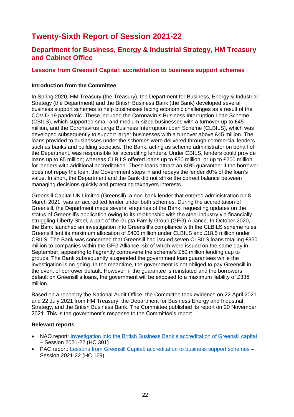# **Twenty-Sixth Report of Session 2021-22**

# **Department for Business, Energy & Industrial Strategy, HM Treasury and Cabinet Office**

## **Lessons from Greensill Capital: accreditation to business support schemes**

#### **Introduction from the Committee**

In Spring 2020, HM Treasury (the Treasury), the Department for Business, Energy & Industrial Strategy (the Department) and the British Business Bank (the Bank) developed several business support schemes to help businesses facing economic challenges as a result of the COVID-19 pandemic. These included the Coronavirus Business Interruption Loan Scheme (CBILS), which supported small and medium-sized businesses with a turnover up to £45 million, and the Coronavirus Large Business Interruption Loan Scheme (CLBILS), which was developed subsequently to support larger businesses with a turnover above £45 million. The loans provided to businesses under the schemes were delivered through commercial lenders such as banks and building societies. The Bank, acting as scheme administrator on behalf of the Department, was responsible for accrediting lenders. Under CBILS, lenders could provide loans up to £5 million; whereas CLBILS offered loans up to £50 million, or up to £200 million for lenders with additional accreditation. These loans attract an 80% guarantee: if the borrower does not repay the loan, the Government steps in and repays the lender 80% of the loan's value. In short, the Department and the Bank did not strike the correct balance between managing decisions quickly and protecting taxpayers interests.

Greensill Capital UK Limited (Greensill), a non-bank lender that entered administration on 8 March 2021, was an accredited lender under both schemes. During the accreditation of Greensill, the Department made several enquiries of the Bank, requesting updates on the status of Greensill's application owing to its relationship with the steel industry via financially struggling Liberty Steel, a part of the Gupta Family Group (GFG) Alliance. In October 2020, the Bank launched an investigation into Greensill's compliance with the CLBILS scheme rules. Greensill lent its maximum allocation of £400 million under CLBILS and £18.5 million under CBILS. The Bank was concerned that Greensill had issued seven CLBILS loans totalling £350 million to companies within the GFG Alliance, six of which were issued on the same day in September, appearing to flagrantly contravene the scheme's £50 million lending cap to groups. The Bank subsequently suspended the government loan guarantees while the investigation is on-going. In the meantime, the government is not obliged to pay Greensill in the event of borrower default. However, if the guarantee is reinstated and the borrowers default on Greensill's loans, the government will be exposed to a maximum liability of £335 million.

Based on a report by the National Audit Office, the Committee took evidence on 22 April 2021 and 22 July 2021 from HM Treasury, the Department for Business Energy and Industrial Strategy, and the British Business Bank. The Committee published its report on 20 November 2021. This is the government's response to the Committee's report.

#### **Relevant reports**

- NAO report: [Investigation into the British Business Bank's accreditation of Greensill capita](https://www.nao.org.uk/wp-content/uploads/2021/07/Investigation-into-the-British-Business-Banks-accreditation-of-Greensill-Capital.pdf)l – Session 2021-22 (HC 301)
- PAC report: [Lessons from Greensill Capital: accreditation to business support schemes](https://committees.parliament.uk/publications/7895/documents/82012/default/) Session 2021-22 (HC 169)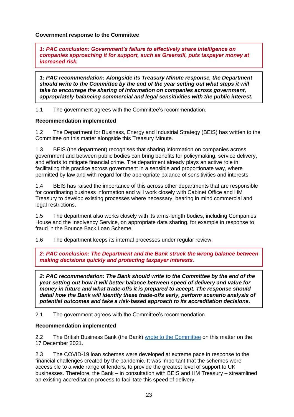**Government response to the Committee**

*1: PAC conclusion: Government's failure to effectively share intelligence on companies approaching it for support, such as Greensill, puts taxpayer money at increased risk.* 

*1: PAC recommendation: Alongside its Treasury Minute response, the Department should write to the Committee by the end of the year setting out what steps it will take to encourage the sharing of information on companies across government, appropriately balancing commercial and legal sensitivities with the public interest.* 

1.1 The government agrees with the Committee's recommendation.

#### **Recommendation implemented**

1.2 The Department for Business, Energy and Industrial Strategy (BEIS) has written to the Committee on this matter alongside this Treasury Minute.

1.3 BEIS (the department) recognises that sharing information on companies across government and between public bodies can bring benefits for policymaking, service delivery, and efforts to mitigate financial crime. The department already plays an active role in facilitating this practice across government in a sensible and proportionate way, where permitted by law and with regard for the appropriate balance of sensitivities and interests.

1.4 BEIS has raised the importance of this across other departments that are responsible for coordinating business information and will work closely with Cabinet Office and HM Treasury to develop existing processes where necessary, bearing in mind commercial and legal restrictions.

1.5 The department also works closely with its arms-length bodies, including Companies House and the Insolvency Service, on appropriate data sharing, for example in response to fraud in the Bounce Back Loan Scheme.

1.6 The department keeps its internal processes under regular review.

*2: PAC conclusion: The Department and the Bank struck the wrong balance between making decisions quickly and protecting taxpayer interests.* 

*2: PAC recommendation: The Bank should write to the Committee by the end of the year setting out how it will better balance between speed of delivery and value for money in future and what trade-offs it is prepared to accept. The response should detail how the Bank will identify these trade-offs early, perform scenario analysis of potential outcomes and take a risk-based approach to its accreditation decisions.* 

2.1 The government agrees with the Committee's recommendation.

## **Recommendation implemented**

2.2 The British Business Bank (the Bank) [wrote to the Committee](https://committees.parliament.uk/publications/8485/documents/85876/default/) on this matter on the 17 December 2021.

2.3 The COVID-19 loan schemes were developed at extreme pace in response to the financial challenges created by the pandemic. It was important that the schemes were accessible to a wide range of lenders, to provide the greatest level of support to UK businesses. Therefore, the Bank – in consultation with BEIS and HM Treasury – streamlined an existing accreditation process to facilitate this speed of delivery.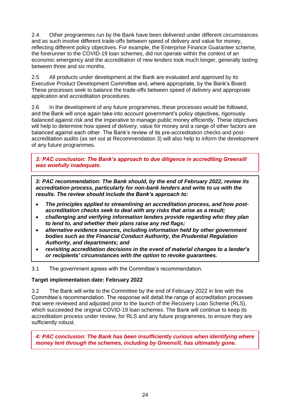2.4 Other programmes run by the Bank have been delivered under different circumstances and as such involve different trade-offs between speed of delivery and value for money, reflecting different policy objectives. For example, the Enterprise Finance Guarantee scheme, the forerunner to the COVID-19 loan schemes, did not operate within the context of an economic emergency and the accreditation of new lenders took much longer, generally lasting between three and six months.

2.5 All products under development at the Bank are evaluated and approved by its Executive Product Development Committee and, where appropriate, by the Bank's Board. These processes seek to balance the trade-offs between speed of delivery and appropriate application and accreditation procedures.

2.6 In the development of any future programmes, these processes would be followed, and the Bank will once again take into account government's policy objectives, rigorously balanced against risk and the imperative to manage public money efficiently. These objectives will help to determine how speed of delivery, value for money and a range of other factors are balanced against each other. The Bank's review of its pre-accreditation checks and postaccreditation audits (as set out at Recommendation 3) will also help to inform the development of any future programmes.

*3: PAC conclusion: The Bank's approach to due diligence in accrediting Greensill was woefully inadequate.* 

*3: PAC recommendation: The Bank should, by the end of February 2022, review its accreditation process, particularly for non-bank lenders and write to us with the results. The review should include the Bank's approach to:*

- *The principles applied to streamlining an accreditation process, and how postaccreditation checks seek to deal with any risks that arise as a result;*
- *challenging and verifying information lenders provide regarding who they plan to lend to, and whether their plans raise any red flags;*
- *alternative evidence sources, including information held by other government bodies such as the Financial Conduct Authority, the Prudential Regulation Authority, and departments; and*
- *revisiting accreditation decisions in the event of material changes to a lender's or recipients' circumstances with the option to revoke guarantees.*

3.1 The government agrees with the Committee's recommendation.

#### **Target implementation date: February 2022**

3.2 The Bank will write to the Committee by the end of February 2022 in line with the Committee's recommendation. The response will detail the range of accreditation processes that were reviewed and adjusted prior to the launch of the Recovery Loan Scheme (RLS), which succeeded the original COVID-19 loan schemes. The Bank will continue to keep its accreditation process under review, for RLS and any future programmes, to ensure they are sufficiently robust.

*4: PAC conclusion: The Bank has been insufficiently curious when identifying where money lent through the schemes, including by Greensill, has ultimately gone.*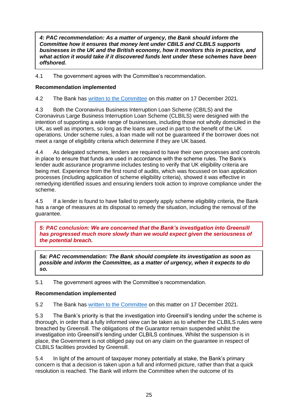*4: PAC recommendation: As a matter of urgency, the Bank should inform the Committee how it ensures that money lent under CBILS and CLBILS supports businesses in the UK and the British economy, how it monitors this in practice, and what action it would take if it discovered funds lent under these schemes have been offshored.* 

4.1 The government agrees with the Committee's recommendation.

# **Recommendation implemented**

4.2 The Bank has [written to the Committee](https://committees.parliament.uk/publications/8485/documents/85876/default/) on this matter on 17 December 2021.

4.3 Both the Coronavirus Business Interruption Loan Scheme (CBILS) and the Coronavirus Large Business Interruption Loan Scheme (CLBILS) were designed with the intention of supporting a wide range of businesses, including those not wholly domiciled in the UK, as well as importers, so long as the loans are used in part to the benefit of the UK operations. Under scheme rules, a loan made will not be guaranteed if the borrower does not meet a range of eligibility criteria which determine if they are UK based.

4.4 As delegated schemes, lenders are required to have their own processes and controls in place to ensure that funds are used in accordance with the scheme rules. The Bank's lender audit assurance programme includes testing to verify that UK eligibility criteria are being met. Experience from the first round of audits, which was focussed on loan application processes (including application of scheme eligibility criteria), showed it was effective in remedying identified issues and ensuring lenders took action to improve compliance under the scheme.

4.5 If a lender is found to have failed to properly apply scheme eligibility criteria, the Bank has a range of measures at its disposal to remedy the situation, including the removal of the guarantee.

*5: PAC conclusion: We are concerned that the Bank's investigation into Greensill has progressed much more slowly than we would expect given the seriousness of the potential breach.* 

*5a: PAC recommendation: The Bank should complete its investigation as soon as possible and inform the Committee, as a matter of urgency, when it expects to do so.* 

5.1 The government agrees with the Committee's recommendation.

## **Recommendation implemented**

5.2 The Bank has [written to the Committee](https://committees.parliament.uk/publications/8485/documents/85876/default/) on this matter on 17 December 2021.

5.3 The Bank's priority is that the investigation into Greensill's lending under the scheme is thorough, in order that a fully informed view can be taken as to whether the CLBILS rules were breached by Greensill. The obligations of the Guarantor remain suspended whilst the investigation into Greensill's lending under CLBILS continues. Whilst the suspension is in place, the Government is not obliged pay out on any claim on the guarantee in respect of CLBILS facilities provided by Greensill.

5.4 In light of the amount of taxpayer money potentially at stake, the Bank's primary concern is that a decision is taken upon a full and informed picture, rather than that a quick resolution is reached. The Bank will inform the Committee when the outcome of its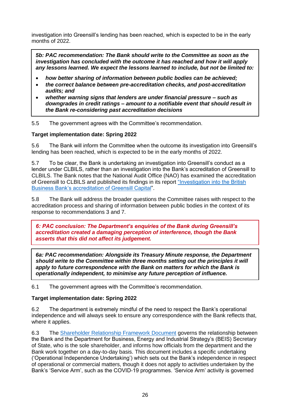investigation into Greensill's lending has been reached, which is expected to be in the early months of 2022.

*5b: PAC recommendation: The Bank should write to the Committee as soon as the investigation has concluded with the outcome it has reached and how it will apply any lessons learned. We expect the lessons learned to include, but not be limited to:* 

- *how better sharing of information between public bodies can be achieved;*
- *the correct balance between pre-accreditation checks, and post-accreditation audits; and*
- *whether warning signs that lenders are under financial pressure – such as downgrades in credit ratings – amount to a notifiable event that should result in the Bank re-considering past accreditation decisions*

5.5 The government agrees with the Committee's recommendation.

#### **Target implementation date: Spring 2022**

5.6 The Bank will inform the Committee when the outcome its investigation into Greensill's lending has been reached, which is expected to be in the early months of 2022.

5.7 To be clear, the Bank is undertaking an investigation into Greensill's conduct as a lender under CLBILS, rather than an investigation into the Bank's accreditation of Greensill to CLBILS. The Bank notes that the National Audit Office (NAO) has examined the accreditation of Greensill to CLBILS and published its findings in its report ["Investigation into the British](https://www.nao.org.uk/report/investigation-into-the-british-business-banks-accreditation-of-greensill-capital/)  [Business Bank's accreditation of Greensill Capital"](https://www.nao.org.uk/report/investigation-into-the-british-business-banks-accreditation-of-greensill-capital/).

5.8 The Bank will address the broader questions the Committee raises with respect to the accreditation process and sharing of information between public bodies in the context of its response to recommendations 3 and 7.

*6: PAC conclusion: The Department's enquiries of the Bank during Greensill's accreditation created a damaging perception of interference, though the Bank asserts that this did not affect its judgement.* 

*6a: PAC recommendation: Alongside its Treasury Minute response, the Department should write to the Committee within three months setting out the principles it will apply to future correspondence with the Bank on matters for which the Bank is operationally independent, to minimise any future perception of influence.* 

6.1 The government agrees with the Committee's recommendation.

#### **Target implementation date: Spring 2022**

6.2 The department is extremely mindful of the need to respect the Bank's operational independence and will always seek to ensure any correspondence with the Bank reflects that, where it applies.

6.3 The [Shareholder Relationship Framework Document](https://eur02.safelinks.protection.outlook.com/?url=https%3A%2F%2Fwww.british-business-bank.co.uk%2Fwp-content%2Fuploads%2F2013%2F10%2FShareholder-Relationship-Framework.pdf&data=04%7C01%7COliver.Page%40beis.gov.uk%7C377697e0079e476861fc08d9be5d2b3d%7Ccbac700502c143ebb497e6492d1b2dd8%7C0%7C0%7C637750129625663637%7CUnknown%7CTWFpbGZsb3d8eyJWIjoiMC4wLjAwMDAiLCJQIjoiV2luMzIiLCJBTiI6Ik1haWwiLCJXVCI6Mn0%3D%7C3000&sdata=j2%2BsSgRKA6AhiB%2Fn4%2BTVzJVZEkVp0gBgUA%2Fg4EKXAyE%3D&reserved=0) governs the relationship between the Bank and the Department for Business, Energy and Industrial Strategy's (BEIS) Secretary of State, who is the sole shareholder, and informs how officials from the department and the Bank work together on a day-to-day basis. This document includes a specific undertaking ('Operational Independence Undertaking') which sets out the Bank's independence in respect of operational or commercial matters, though it does not apply to activities undertaken by the Bank's 'Service Arm', such as the COVID-19 programmes. 'Service Arm' activity is governed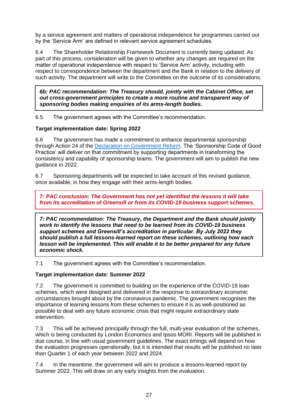by a service agreement and matters of operational independence for programmes carried out by the 'Service Arm' are defined in relevant service agreement schedules.

6.4 The Shareholder Relationship Framework Document is currently being updated. As part of this process, consideration will be given to whether any changes are required on the matter of operational independence with respect to 'Service Arm' activity, including with respect to correspondence between the department and the Bank in relation to the delivery of such activity. The department will write to the Committee on the outcome of its considerations.

*6b: PAC recommendation: The Treasury should, jointly with the Cabinet Office, set out cross-government principles to create a more routine and transparent way of sponsoring bodies making enquiries of its arms-length bodies.* 

6.5 The government agrees with the Committee's recommendation.

## **Target implementation date: Spring 2022**

6.6 The government has made a commitment to enhance departmental sponsorship through Action 24 of the [Declaration on Government Reform.](https://www.gov.uk/government/publications/declaration-on-government-reform) The 'Sponsorship Code of Good Practice' will deliver on that commitment by supporting departments in transforming the consistency and capability of sponsorship teams. The government will aim to publish the new guidance in 2022.

6.7 Sponsoring departments will be expected to take account of this revised guidance, once available, in how they engage with their arms-length bodies.

*7: PAC conclusion: The Government has not yet identified the lessons it will take from its accreditation of Greensill or from its COVID-19 business support schemes.* 

*7: PAC recommendation: The Treasury, the Department and the Bank should jointly work to identify the lessons that need to be learned from its COVID-19 business support schemes and Greensill's accreditation in particular. By July 2022 they should publish a full lessons-learned report on these schemes, outlining how each lesson will be implemented. This will enable it to be better prepared for any future economic shock.* 

7.1 The government agrees with the Committee's recommendation.

#### **Target implementation date: Summer 2022**

7.2 The government is committed to building on the experience of the COVID-19 loan schemes, which were designed and delivered in the response to extraordinary economic circumstances brought about by the coronavirus pandemic. The government recognises the importance of learning lessons from these schemes to ensure it is as well-positioned as possible to deal with any future economic crisis that might require extraordinary state intervention.

7.3 This will be achieved principally through the full, multi-year evaluation of the schemes, which is being conducted by London Economics and Ipsos MORI. Reports will be published in due course, in line with usual government guidelines. The exact timings will depend on how the evaluation progresses operationally, but it is intended that results will be published no later than Quarter 1 of each year between 2022 and 2024.

7.4 In the meantime, the government will aim to produce a lessons-learned report by Summer 2022. This will draw on any early insights from the evaluation.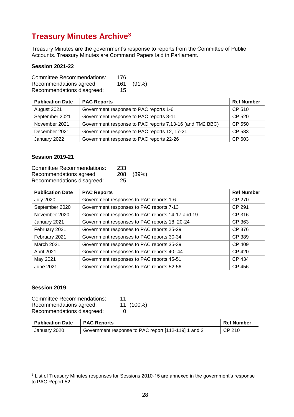# **Treasury Minutes Archive<sup>3</sup>**

Treasury Minutes are the government's response to reports from the Committee of Public Accounts. Treasury Minutes are Command Papers laid in Parliament.

#### **Session 2021-22**

| <b>Committee Recommendations:</b> | 176 |       |
|-----------------------------------|-----|-------|
| Recommendations agreed:           | 161 | (91%) |
| Recommendations disagreed:        | 15  |       |

| <b>Publication Date</b> | <b>PAC Reports</b>                                       | <b>Ref Number</b> |
|-------------------------|----------------------------------------------------------|-------------------|
| August 2021             | Government response to PAC reports 1-6                   | CP 510            |
| September 2021          | Government response to PAC reports 8-11                  | CP 520            |
| November 2021           | Government response to PAC reports 7,13-16 (and TM2 BBC) | CP 550            |
| December 2021           | Government response to PAC reports 12, 17-21             | CP 583            |
| January 2022            | Government response to PAC reports 22-26                 | CP 603            |

#### **Session 2019-21**

| <b>Committee Recommendations:</b> | 233 |       |
|-----------------------------------|-----|-------|
| Recommendations agreed:           | 208 | (89%) |
| Recommendations disagreed:        | 25  |       |

| <b>Publication Date</b> | <b>PAC Reports</b>                               | <b>Ref Number</b> |
|-------------------------|--------------------------------------------------|-------------------|
| <b>July 2020</b>        | Government responses to PAC reports 1-6          | <b>CP 270</b>     |
| September 2020          | Government responses to PAC reports 7-13         | CP 291            |
| November 2020           | Government responses to PAC reports 14-17 and 19 | CP 316            |
| January 2021            | Government responses to PAC reports 18, 20-24    | CP 363            |
| February 2021           | Government responses to PAC reports 25-29        | CP 376            |
| February 2021           | Government responses to PAC reports 30-34        | <b>CP 389</b>     |
| <b>March 2021</b>       | Government responses to PAC reports 35-39        | CP 409            |
| April 2021              | Government responses to PAC reports 40-44        | CP 420            |
| May 2021                | Government responses to PAC reports 45-51        | CP 434            |
| June 2021               | Government responses to PAC reports 52-56        | CP 456            |

#### **Session 2019**

Committee Recommendations: 11<br>Recommendations agreed: 11 (100%) Recommendations agreed: Recommendations disagreed: 0

| <b>Publication Date</b> | <b>PAC Reports</b>                                  | <b>Ref Number</b> |
|-------------------------|-----------------------------------------------------|-------------------|
| January 2020            | Government response to PAC report [112-119] 1 and 2 | $\vert$ CP 210    |

 $3$  List of Treasury Minutes responses for Sessions 2010-15 are annexed in the government's response to PAC Report 52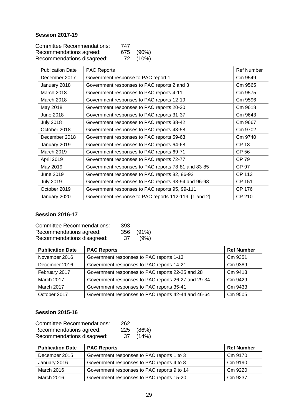# **Session 2017-19**

| <b>Committee Recommendations:</b> | 747 |           |
|-----------------------------------|-----|-----------|
| Recommendations agreed:           |     | 675 (90%) |
| Recommendations disagreed:        |     | 72 (10%)  |

| <b>Publication Date</b> | <b>PAC Reports</b>                                   | <b>Ref Number</b> |
|-------------------------|------------------------------------------------------|-------------------|
| December 2017           | Government response to PAC report 1                  | Cm 9549           |
| January 2018            | Government responses to PAC reports 2 and 3          | Cm 9565           |
| March 2018              | Government responses to PAC reports 4-11             | Cm 9575           |
| March 2018              | Government responses to PAC reports 12-19            | Cm 9596           |
| May 2018                | Government responses to PAC reports 20-30            | Cm 9618           |
| June 2018               | Government responses to PAC reports 31-37            | Cm 9643           |
| <b>July 2018</b>        | Government responses to PAC reports 38-42            | Cm 9667           |
| October 2018            | Government responses to PAC reports 43-58            | Cm 9702           |
| December 2018           | Government responses to PAC reports 59-63            | Cm 9740           |
| January 2019            | Government responses to PAC reports 64-68            | <b>CP 18</b>      |
| March 2019              | Government responses to PAC reports 69-71            | <b>CP 56</b>      |
| April 2019              | Government responses to PAC reports 72-77            | CP 79             |
| May 2019                | Government responses to PAC reports 78-81 and 83-85  | <b>CP 97</b>      |
| June 2019               | Government responses to PAC reports 82, 86-92        | <b>CP 113</b>     |
| <b>July 2019</b>        | Government responses to PAC reports 93-94 and 96-98  | <b>CP 151</b>     |
| October 2019            | Government responses to PAC reports 95, 99-111       | <b>CP 176</b>     |
| January 2020            | Government response to PAC reports 112-119 [1 and 2] | CP 210            |

# **Session 2016-17**

| <b>Committee Recommendations:</b> | 393 |       |
|-----------------------------------|-----|-------|
| Recommendations agreed:           | 356 | (91%) |
| Recommendations disagreed:        | -37 | (9%)  |

| <b>Publication Date</b> | <b>PAC Reports</b>                                  | <b>Ref Number</b> |
|-------------------------|-----------------------------------------------------|-------------------|
| November 2016           | Government responses to PAC reports 1-13            | Cm 9351           |
| December 2016           | Government responses to PAC reports 14-21           | Cm 9389           |
| February 2017           | Government responses to PAC reports 22-25 and 28    | Cm 9413           |
| March 2017              | Government responses to PAC reports 26-27 and 29-34 | Cm 9429           |
| March 2017              | Government responses to PAC reports 35-41           | Cm 9433           |
| October 2017            | Government responses to PAC reports 42-44 and 46-64 | Cm 9505           |

# **Session 2015-16**

| <b>Committee Recommendations:</b> | 262 |           |
|-----------------------------------|-----|-----------|
| Recommendations agreed:           |     | 225 (86%) |
| Recommendations disagreed:        |     | 37 (14%)  |

| <b>Publication Date</b> | <b>PAC Reports</b>                          | <b>Ref Number</b> |
|-------------------------|---------------------------------------------|-------------------|
| December 2015           | Government responses to PAC reports 1 to 3  | Cm 9170           |
| January 2016            | Government responses to PAC reports 4 to 8  | Cm 9190           |
| March 2016              | Government responses to PAC reports 9 to 14 | Cm 9220           |
| March 2016              | Government responses to PAC reports 15-20   | Cm 9237           |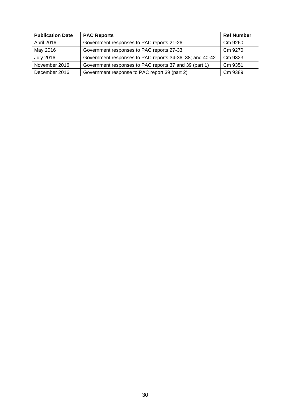| <b>Publication Date</b> | <b>PAC Reports</b>                                       | <b>Ref Number</b> |
|-------------------------|----------------------------------------------------------|-------------------|
| April 2016              | Government responses to PAC reports 21-26                | Cm 9260           |
| May 2016                | Government responses to PAC reports 27-33                | Cm 9270           |
| <b>July 2016</b>        | Government responses to PAC reports 34-36; 38; and 40-42 | Cm 9323           |
| November 2016           | Government responses to PAC reports 37 and 39 (part 1)   | Cm 9351           |
| December 2016           | Government response to PAC report 39 (part 2)            | Cm 9389           |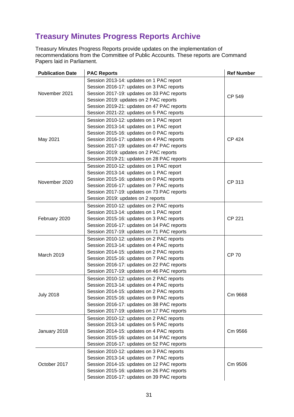# **Treasury Minutes Progress Reports Archive**

Treasury Minutes Progress Reports provide updates on the implementation of recommendations from the Committee of Public Accounts. These reports are Command Papers laid in Parliament.

| <b>Publication Date</b> | <b>PAC Reports</b>                         | <b>Ref Number</b> |
|-------------------------|--------------------------------------------|-------------------|
| November 2021           | Session 2013-14: updates on 1 PAC report   |                   |
|                         | Session 2016-17: updates on 3 PAC reports  |                   |
|                         | Session 2017-19: updates on 33 PAC reports | CP 549            |
|                         | Session 2019: updates on 2 PAC reports     |                   |
|                         | Session 2019-21: updates on 47 PAC reports |                   |
|                         | Session 2021-22: updates on 5 PAC reports  |                   |
|                         | Session 2010-12: updates on 1 PAC report   | <b>CP 424</b>     |
|                         | Session 2013-14: updates on 1 PAC report   |                   |
|                         | Session 2015-16: updates on 0 PAC reports  |                   |
| May 2021                | Session 2016-17: updates on 4 PAC reports  |                   |
|                         | Session 2017-19: updates on 47 PAC reports |                   |
|                         | Session 2019: updates on 2 PAC reports     |                   |
|                         | Session 2019-21: updates on 28 PAC reports |                   |
|                         | Session 2010-12: updates on 1 PAC report   |                   |
|                         | Session 2013-14: updates on 1 PAC report   |                   |
| November 2020           | Session 2015-16: updates on 0 PAC reports  | CP 313            |
|                         | Session 2016-17: updates on 7 PAC reports  |                   |
|                         | Session 2017-19: updates on 73 PAC reports |                   |
|                         | Session 2019: updates on 2 reports         |                   |
|                         | Session 2010-12: updates on 2 PAC reports  | <b>CP 221</b>     |
|                         | Session 2013-14: updates on 1 PAC report   |                   |
| February 2020           | Session 2015-16: updates on 3 PAC reports  |                   |
|                         | Session 2016-17: updates on 14 PAC reports |                   |
|                         | Session 2017-19: updates on 71 PAC reports |                   |
|                         | Session 2010-12: updates on 2 PAC reports  |                   |
|                         | Session 2013-14: updates on 4 PAC reports  |                   |
| March 2019              | Session 2014-15: updates on 2 PAC reports  | <b>CP 70</b>      |
|                         | Session 2015-16: updates on 7 PAC reports  |                   |
|                         | Session 2016-17: updates on 22 PAC reports |                   |
|                         | Session 2017-19: updates on 46 PAC reports |                   |
|                         | Session 2010-12: updates on 2 PAC reports  | Cm 9668           |
| <b>July 2018</b>        | Session 2013-14: updates on 4 PAC reports  |                   |
|                         | Session 2014-15: updates on 2 PAC reports  |                   |
|                         | Session 2015-16: updates on 9 PAC reports  |                   |
|                         | Session 2016-17: updates on 38 PAC reports |                   |
|                         | Session 2017-19: updates on 17 PAC reports |                   |
| January 2018            | Session 2010-12: updates on 2 PAC reports  | Cm 9566           |
|                         | Session 2013-14: updates on 5 PAC reports  |                   |
|                         | Session 2014-15: updates on 4 PAC reports  |                   |
|                         | Session 2015-16: updates on 14 PAC reports |                   |
|                         | Session 2016-17: updates on 52 PAC reports |                   |
| October 2017            | Session 2010-12: updates on 3 PAC reports  |                   |
|                         | Session 2013-14: updates on 7 PAC reports  |                   |
|                         | Session 2014-15: updates on 12 PAC reports | Cm 9506           |
|                         | Session 2015-16: updates on 26 PAC reports |                   |
|                         | Session 2016-17: updates on 39 PAC reports |                   |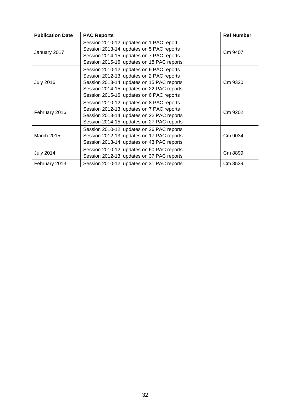| <b>Publication Date</b> | <b>PAC Reports</b>                         | <b>Ref Number</b> |
|-------------------------|--------------------------------------------|-------------------|
| January 2017            | Session 2010-12: updates on 1 PAC report   | Cm 9407           |
|                         | Session 2013-14: updates on 5 PAC reports  |                   |
|                         | Session 2014-15: updates on 7 PAC reports  |                   |
|                         | Session 2015-16: updates on 18 PAC reports |                   |
| <b>July 2016</b>        | Session 2010-12: updates on 6 PAC reports  | Cm 9320           |
|                         | Session 2012-13: updates on 2 PAC reports  |                   |
|                         | Session 2013-14: updates on 15 PAC reports |                   |
|                         | Session 2014-15: updates on 22 PAC reports |                   |
|                         | Session 2015-16: updates on 6 PAC reports  |                   |
| February 2016           | Session 2010-12: updates on 8 PAC reports  | Cm 9202           |
|                         | Session 2012-13: updates on 7 PAC reports  |                   |
|                         | Session 2013-14: updates on 22 PAC reports |                   |
|                         | Session 2014-15: updates on 27 PAC reports |                   |
| March 2015              | Session 2010-12: updates on 26 PAC reports | Cm 9034           |
|                         | Session 2012-13: updates on 17 PAC reports |                   |
|                         | Session 2013-14: updates on 43 PAC reports |                   |
| <b>July 2014</b>        | Session 2010-12: updates on 60 PAC reports | Cm 8899           |
|                         | Session 2012-13: updates on 37 PAC reports |                   |
| February 2013           | Session 2010-12: updates on 31 PAC reports | Cm 8539           |